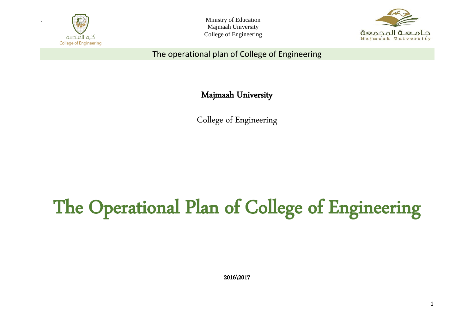

Ministry of Education Majmaah University College of Engineering



The operational plan of College of Engineering

Majmaah University

College of Engineering

# The Operational Plan of College of Engineering

2016\2017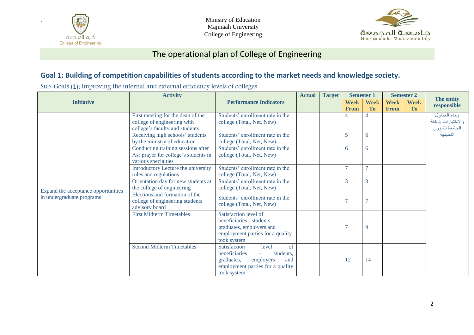

Ministry of Education Majmaah University College of Engineering



### The operational plan of College of Engineering

#### **Goal 1: Building of competition capabilities of students according to the market needs and knowledge society.**

Sub-Goals (1): Improving the internal and external efficiency levels of colleges

|                                     | <b>Activity</b>                                                                                    |                                                                                                                                                | <b>Actual</b> | <b>Target</b> |                  | <b>Semester 1</b> | <b>Semester 2</b> |                          | The entity                                                        |  |
|-------------------------------------|----------------------------------------------------------------------------------------------------|------------------------------------------------------------------------------------------------------------------------------------------------|---------------|---------------|------------------|-------------------|-------------------|--------------------------|-------------------------------------------------------------------|--|
| <b>Initiative</b>                   |                                                                                                    | <b>Performance Indicators</b>                                                                                                                  |               |               | <b>Week</b>      | <b>Week</b>       | <b>Week</b>       | <b>Week</b><br><b>To</b> | responsible                                                       |  |
|                                     | First meeting for the dean of the<br>college of engineering with<br>college's faculty and students | Students' enrollment rate in the<br>college (Total, Net, New)<br>Students' enrollment rate in the                                              |               |               | <b>From</b><br>4 | <b>To</b><br>4    | <b>From</b>       |                          | وحدة الجداول<br>والاختبارات اوكالة<br>الجامعة للشؤون<br>التعليمية |  |
|                                     | Receiving high schools' students<br>by the ministry of education                                   | college (Total, Net, New)                                                                                                                      |               |               | 5                | 6                 |                   |                          |                                                                   |  |
|                                     | Conducting training sessions after<br>Asr prayer for college's students in<br>various specialties  | Students' enrollment rate in the<br>college (Total, Net, New)                                                                                  |               |               | 6                | 6                 |                   |                          |                                                                   |  |
|                                     | Introductory Lecture the university<br>rules and regulations                                       | Students' enrollment rate in the<br>college (Total, Net, New)                                                                                  |               |               | $\overline{7}$   |                   |                   |                          |                                                                   |  |
| Expand the acceptance opportunities | Orientation day for new students at<br>the college of engineering                                  | Students' enrollment rate in the<br>college (Total, Net, New)                                                                                  |               |               | 3                | 3                 |                   |                          |                                                                   |  |
| in undergraduate programs           | Elections and formation of the<br>college of engineering students<br>advisory board                | Students' enrollment rate in the<br>college (Total, Net, New)                                                                                  |               |               | $\overline{7}$   |                   |                   |                          |                                                                   |  |
|                                     | <b>First Midterm Timetables</b>                                                                    | Satisfaction level of<br>beneficiaries - students,<br>graduates, employers and<br>employment parties for a quality<br>took system              |               |               | $\overline{7}$   | 9                 |                   |                          |                                                                   |  |
|                                     | <b>Second Midterm Timetables</b>                                                                   | of<br>Satisfaction<br>level<br>beneficiaries<br>students,<br>employers<br>graduates,<br>and<br>employment parties for a quality<br>took system |               |               | 12               | 14                |                   |                          |                                                                   |  |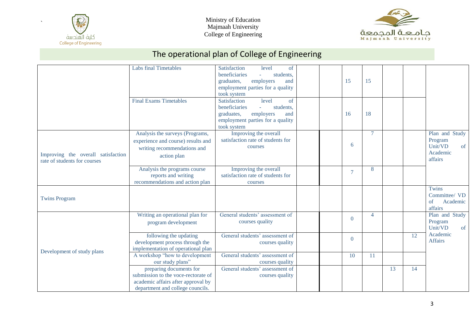



|                                                                    | <b>Labs final Timetables</b>                                                                                                             | Satisfaction<br>level<br>of<br>beneficiaries<br>students,<br>employers<br>graduates,<br>and<br>employment parties for a quality<br>took system             | 15             | 15             |    |    |                                                                   |
|--------------------------------------------------------------------|------------------------------------------------------------------------------------------------------------------------------------------|------------------------------------------------------------------------------------------------------------------------------------------------------------|----------------|----------------|----|----|-------------------------------------------------------------------|
|                                                                    | <b>Final Exams Timetables</b>                                                                                                            | Satisfaction<br>level<br>of<br>beneficiaries<br>students,<br>$\omega$<br>employers<br>graduates,<br>and<br>employment parties for a quality<br>took system | 16             | 18             |    |    |                                                                   |
| Improving the overall satisfaction<br>rate of students for courses | Analysis the surveys (Programs,<br>experience and course) results and<br>writing recommendations and<br>action plan                      | Improving the overall<br>satisfaction rate of students for<br>courses                                                                                      | 6              | $\overline{7}$ |    |    | Plan and Study<br>Program<br>Unit/VD<br>of<br>Academic<br>affairs |
|                                                                    | Analysis the programs course<br>reports and writing<br>recommendations and action plan                                                   | Improving the overall<br>satisfaction rate of students for<br>courses                                                                                      | $\overline{7}$ | 8              |    |    |                                                                   |
| <b>Twins Program</b>                                               |                                                                                                                                          |                                                                                                                                                            |                |                |    |    | Twins<br>Committee/ VD<br>Academic<br>of<br>affairs               |
|                                                                    | Writing an operational plan for<br>program development                                                                                   | General students' assessment of<br>courses quality                                                                                                         | $\overline{0}$ | $\overline{4}$ |    |    | Plan and Study<br>Program<br>Unit/VD<br>of                        |
| Development of study plans                                         | following the updating<br>development process through the<br>implementation of operational plan                                          | General students' assessment of<br>courses quality                                                                                                         | $\mathbf{0}$   |                |    | 12 | Academic<br><b>Affairs</b>                                        |
|                                                                    | A workshop "how to development<br>our study plans"                                                                                       | General students' assessment of<br>courses quality                                                                                                         | 10             | 11             |    |    |                                                                   |
|                                                                    | preparing documents for<br>submission to the voce-rectorate of<br>academic affairs after approval by<br>department and college councils. | General students' assessment of<br>courses quality                                                                                                         |                |                | 13 | 14 |                                                                   |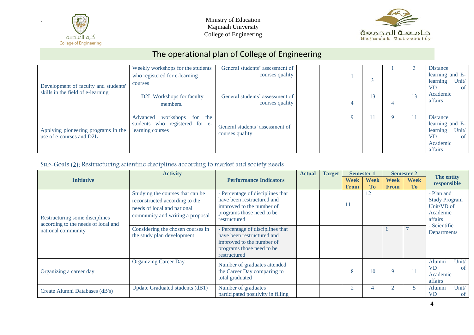



# The operational plan of College of Engineering

| Development of faculty and students'<br>skills in the field of e-learning | Weekly workshops for the students<br>who registered for e-learning<br>courses       | General students' assessment of<br>courses quality |  |    |   | <b>Distance</b><br>learning and E-<br>learning<br>Unit/<br><b>VD</b><br><sub>of</sub>       |
|---------------------------------------------------------------------------|-------------------------------------------------------------------------------------|----------------------------------------------------|--|----|---|---------------------------------------------------------------------------------------------|
|                                                                           | D2L Workshops for faculty<br>members.                                               | General students' assessment of<br>courses quality |  | 13 |   | Academic<br>affairs                                                                         |
| Applying pioneering programs in the<br>use of e-courses and D2L           | workshops for the<br>Advanced<br>students who registered for e-<br>learning courses | General students' assessment of<br>courses quality |  |    | Q | Distance<br>learning and E-<br>Unit/<br>learning<br><b>VD</b><br>-of<br>Academic<br>affairs |

#### Sub-Goals (2): Restructuring scientific disciplines according to market and society needs

|                                                                       | <b>Activity</b>                                                                                                                       | <b>Actual</b>                                                                                                                            |  | <b>Target</b> | <b>Semester 1</b> |                      |             | <b>Semester 2</b> | The entity                                                                              |  |
|-----------------------------------------------------------------------|---------------------------------------------------------------------------------------------------------------------------------------|------------------------------------------------------------------------------------------------------------------------------------------|--|---------------|-------------------|----------------------|-------------|-------------------|-----------------------------------------------------------------------------------------|--|
| <b>Initiative</b>                                                     |                                                                                                                                       | <b>Performance Indicators</b>                                                                                                            |  |               | <b>Week</b>       | <b>Week</b>          | Week        | <b>Week</b>       | responsible                                                                             |  |
| Restructuring some disciplines<br>according to the needs of local and | Studying the courses that can be<br>reconstructed according to the<br>needs of local and national<br>community and writing a proposal | - Percentage of disciplines that<br>have been restructured and<br>improved to the number of<br>programs those need to be<br>restructured |  |               | <b>From</b><br>11 | T <sub>0</sub><br>12 | <b>From</b> | T <sub>0</sub>    | - Plan and<br><b>Study Program</b><br>Unit/VD of<br>Academic<br>affairs<br>- Scientific |  |
| national community                                                    | Considering the chosen courses in<br>the study plan development                                                                       | Percentage of disciplines that<br>have been restructured and<br>improved to the number of<br>programs those need to be<br>restructured   |  |               |                   |                      | n           |                   | Departments                                                                             |  |
| Organizing a career day                                               | <b>Organizing Career Day</b>                                                                                                          | Number of graduates attended<br>the Career Day comparing to<br>total graduated                                                           |  |               | 8                 | 10                   | $\mathbf Q$ | 11                | Unit/<br>Alumni<br><b>VD</b><br>-of<br>Academic<br>affairs                              |  |
| Create Alumni Databases (dB's)                                        | Update Graduated students (dB1)                                                                                                       | Number of graduates<br>participated positivity in filling                                                                                |  |               |                   |                      |             |                   | Unit/<br>Alumni<br><b>VD</b><br><sub>of</sub>                                           |  |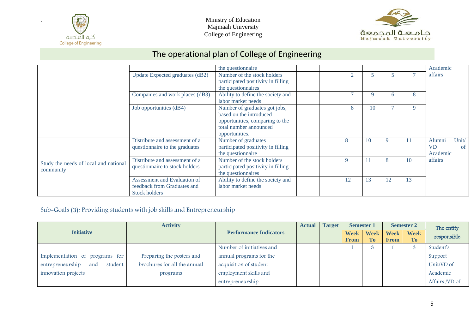



# The operational plan of College of Engineering

|                                       |                                 | the question aire                  |  |    |    |    |    | Academic                   |
|---------------------------------------|---------------------------------|------------------------------------|--|----|----|----|----|----------------------------|
|                                       | Update Expected graduates (dB2) | Number of the stock holders        |  |    | 5  |    |    | affairs                    |
|                                       |                                 | participated positivity in filling |  |    |    |    |    |                            |
|                                       |                                 | the questionnaires                 |  |    |    |    |    |                            |
|                                       | Companies and work places (dB3) | Ability to define the society and  |  |    | 9  | 6  | 8  |                            |
|                                       |                                 | labor market needs                 |  |    |    |    |    |                            |
|                                       | Job opportunities (dB4)         | Number of graduates got jobs,      |  | 8  | 10 |    | 9  |                            |
|                                       |                                 | based on the introduced            |  |    |    |    |    |                            |
|                                       |                                 | opportunities, comparing to the    |  |    |    |    |    |                            |
|                                       |                                 | total number announced             |  |    |    |    |    |                            |
|                                       |                                 | opportunities.                     |  |    |    |    |    |                            |
|                                       | Distribute and assessment of a  | Number of graduates                |  | 8  | 10 | 9  | 11 | Unit/<br>Alumni            |
|                                       | questionnaire to the graduates  | participated positivity in filling |  |    |    |    |    | <b>VD</b><br><sub>of</sub> |
|                                       |                                 | the questionnaire                  |  |    |    |    |    | Academic                   |
| Study the needs of local and national | Distribute and assessment of a  | Number of the stock holders        |  | 9  | 11 | 8  | 10 | affairs                    |
| community                             | questionnaire to stock holders  | participated positivity in filling |  |    |    |    |    |                            |
|                                       |                                 | the questionnaires                 |  |    |    |    |    |                            |
|                                       | Assessment and Evaluation of    | Ability to define the society and  |  | 12 | 13 | 12 | 13 |                            |
|                                       | feedback from Graduates and     | labor market needs                 |  |    |    |    |    |                            |
|                                       | <b>Stock holders</b>            |                                    |  |    |    |    |    |                            |

#### Sub-Goals (3): Providing students with job skills and Entrepreneurship

|                                      | <b>Activity</b>              |                               | <b>Target</b><br><b>Actual</b> |  | <b>Semester 1</b> |             | <b>Semester 2</b> |             | The entity     |
|--------------------------------------|------------------------------|-------------------------------|--------------------------------|--|-------------------|-------------|-------------------|-------------|----------------|
| <b>Initiative</b>                    |                              | <b>Performance Indicators</b> |                                |  | <b>Week</b>       | <b>Week</b> | <b>Week</b>       | <b>Week</b> | responsible    |
|                                      |                              |                               |                                |  | From              | <b>To</b>   | <b>From</b>       | To          |                |
|                                      |                              | Number of initiatives and     |                                |  |                   |             |                   |             | Student's      |
| Implementation of programs for       | Preparing the posters and    | annual programs for the       |                                |  |                   |             |                   |             | Support        |
| entrepreneurship<br>student  <br>and | brochures for all the annual | acquisition of student        |                                |  |                   |             |                   |             | Unit/VD of     |
| innovation projects                  | programs                     | employment skills and         |                                |  |                   |             |                   |             | Academic       |
|                                      |                              | entrepreneurship              |                                |  |                   |             |                   |             | Affairs /VD of |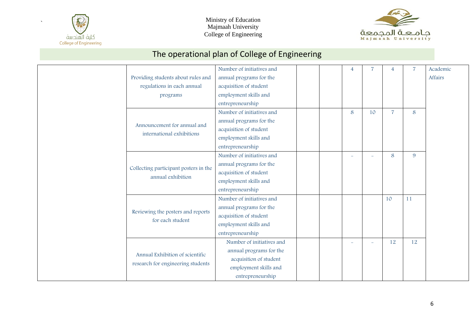

Ministry of Education Majmaah University College of Engineering



|                                       | Number of initiatives and |  | $\overline{4}$ |    | 4              | $\overline{7}$ | Academic |
|---------------------------------------|---------------------------|--|----------------|----|----------------|----------------|----------|
| Providing students about rules and    | annual programs for the   |  |                |    |                |                | Affairs  |
| regulations in each annual            | acquisition of student    |  |                |    |                |                |          |
| programs                              | employment skills and     |  |                |    |                |                |          |
|                                       | entrepreneurship          |  |                |    |                |                |          |
|                                       | Number of initiatives and |  | 8              | 10 | $\overline{7}$ | 8              |          |
| Announcement for annual and           | annual programs for the   |  |                |    |                |                |          |
| international exhibitions             | acquisition of student    |  |                |    |                |                |          |
|                                       | employment skills and     |  |                |    |                |                |          |
|                                       | entrepreneurship          |  |                |    |                |                |          |
|                                       | Number of initiatives and |  |                |    | 8              | 9              |          |
| Collecting participant posters in the | annual programs for the   |  |                |    |                |                |          |
| annual exhibition                     | acquisition of student    |  |                |    |                |                |          |
|                                       | employment skills and     |  |                |    |                |                |          |
|                                       | entrepreneurship          |  |                |    |                |                |          |
|                                       | Number of initiatives and |  |                |    | 10             | 11             |          |
| Reviewing the posters and reports     | annual programs for the   |  |                |    |                |                |          |
| for each student                      | acquisition of student    |  |                |    |                |                |          |
|                                       | employment skills and     |  |                |    |                |                |          |
|                                       | entrepreneurship          |  |                |    |                |                |          |
|                                       | Number of initiatives and |  |                |    | 12             | 12             |          |
| Annual Exhibition of scientific       | annual programs for the   |  |                |    |                |                |          |
|                                       | acquisition of student    |  |                |    |                |                |          |
| research for engineering students     | employment skills and     |  |                |    |                |                |          |
|                                       | entrepreneurship          |  |                |    |                |                |          |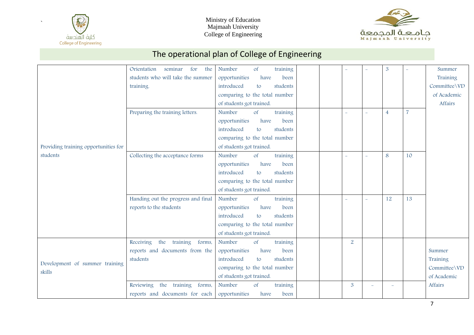



7

|                                      | Orientation<br>seminar<br>the<br>for   | Number<br>training<br><b>of</b>     |                          |          | $\mathbf{3}$   |                | Summer       |
|--------------------------------------|----------------------------------------|-------------------------------------|--------------------------|----------|----------------|----------------|--------------|
|                                      | students who will take the summer      | opportunities<br>have<br>been       |                          |          |                |                | Training     |
|                                      | training.                              | introduced<br>students<br>to        |                          |          |                |                | Committee\VD |
|                                      |                                        | comparing to the total number       |                          |          |                |                | of Academic  |
|                                      |                                        | of students got trained.            |                          |          |                |                | Affairs      |
|                                      | Preparing the training letters.        | Number<br>training<br>$\circ$ f     | $\overline{\phantom{a}}$ | $\equiv$ | $\overline{4}$ | $\overline{7}$ |              |
|                                      |                                        | opportunities<br>have<br>been       |                          |          |                |                |              |
|                                      |                                        | introduced<br>students<br>to        |                          |          |                |                |              |
|                                      |                                        | comparing to the total number       |                          |          |                |                |              |
| Providing training opportunities for |                                        | of students got trained.            |                          |          |                |                |              |
| students                             | Collecting the acceptance forms        | Number<br>training<br><sub>of</sub> | $\equiv$                 | $\equiv$ | 8              | 10             |              |
|                                      |                                        | opportunities<br>have<br>been       |                          |          |                |                |              |
|                                      |                                        | introduced<br>students<br>to        |                          |          |                |                |              |
|                                      |                                        | comparing to the total number       |                          |          |                |                |              |
|                                      |                                        | of students got trained.            |                          |          |                |                |              |
|                                      | Handing out the progress and final     | Number<br>$\circ$ f<br>training     | L.                       | L        | 12             | 13             |              |
|                                      | reports to the students                | opportunities<br>have<br>been       |                          |          |                |                |              |
|                                      |                                        | introduced<br>students<br>to        |                          |          |                |                |              |
|                                      |                                        | comparing to the total number       |                          |          |                |                |              |
|                                      |                                        | of students got trained.            |                          |          |                |                |              |
|                                      | Receiving<br>the<br>training<br>forms, | Number<br>of<br>training            | $\overline{2}$           |          |                |                |              |
|                                      | reports and documents from the         | opportunities<br>have<br>been       |                          |          |                |                | Summer       |
| Development of summer training       | students                               | students<br>introduced<br>to        |                          |          |                |                | Training     |
| skills                               |                                        | comparing to the total number       |                          |          |                |                | Committee\VD |
|                                      |                                        | of students got trained.            |                          |          |                |                | of Academic  |
|                                      | Reviewing the<br>training<br>forms,    | Number<br>of<br>training            | 3                        | $\equiv$ |                |                | Affairs      |
|                                      | reports and documents for each         | opportunities<br>have<br>been       |                          |          |                |                |              |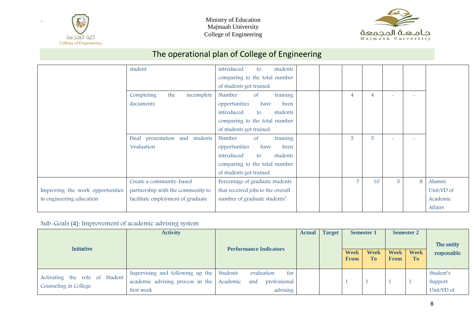



# The operational plan of College of Engineering

|                                  | student                            | introduced<br>students<br>to        |  |                |                |                |   |            |
|----------------------------------|------------------------------------|-------------------------------------|--|----------------|----------------|----------------|---|------------|
|                                  |                                    | comparing to the total number       |  |                |                |                |   |            |
|                                  |                                    | of students got trained.            |  |                |                |                |   |            |
|                                  | Completing<br>the<br>incomplete    | training<br>Number<br><sub>of</sub> |  | $\overline{4}$ | 4              |                |   |            |
|                                  | documents                          | opportunities<br>have<br>been       |  |                |                |                |   |            |
|                                  |                                    | introduced<br>students<br>to        |  |                |                |                |   |            |
|                                  |                                    | comparing to the total number       |  |                |                |                |   |            |
|                                  |                                    | of students got trained.            |  |                |                |                |   |            |
|                                  | Final presentation and<br>students | training<br>Number<br><sub>of</sub> |  | 5              | $\overline{5}$ |                |   |            |
|                                  | <i>'evaluation</i>                 | opportunities<br>have<br>been       |  |                |                |                |   |            |
|                                  |                                    | introduced<br>students<br>to        |  |                |                |                |   |            |
|                                  |                                    | comparing to the total number       |  |                |                |                |   |            |
|                                  |                                    | of students got trained.            |  |                |                |                |   |            |
|                                  | Create a community-based           | Percentage of graduate students     |  | 7              | 10             | $\overline{5}$ | 8 | Alumni     |
| Improving the work opportunities | partnership with the community to  | that received jobs to the overall   |  |                |                |                |   | Unit/VD of |
| in engineering education         | facilitate employment of graduate  | number of graduate students'.       |  |                |                |                |   | Academic   |
|                                  |                                    |                                     |  |                |                |                |   | Affairs    |

#### Sub-Goals (4): Improvement of academic advising system

| Initiative                                              | <b>Activity</b>                                                                                      |                                                      | <b>Actual</b> | <b>Target</b> | <b>Semester 1</b>          |                               | <b>Semester 2</b>          |                               | The entity                         |  |
|---------------------------------------------------------|------------------------------------------------------------------------------------------------------|------------------------------------------------------|---------------|---------------|----------------------------|-------------------------------|----------------------------|-------------------------------|------------------------------------|--|
|                                                         |                                                                                                      | <b>Performance Indicators</b>                        |               |               | <b>Week</b><br><b>From</b> | <b>Week</b><br>T <sub>0</sub> | <b>Week</b><br><b>From</b> | <b>Week</b><br>T <sub>0</sub> | responsible                        |  |
| Activating the role of Student<br>Counseling in College | Supervising and following up the Students<br>academic advising process in the Academic<br>first week | evaluation<br>for<br>professional<br>and<br>advising |               |               |                            |                               |                            |                               | Student's<br>Support<br>Unit/VD of |  |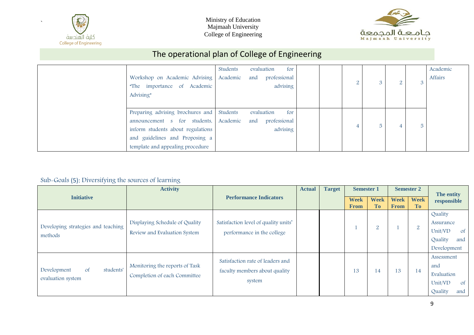



# The operational plan of College of Engineering

| Workshop on Academic Advising<br>"The importance of Academic<br>Advising"                                                                                                   | Students<br>Academic | evaluation<br>for<br>professional<br>and<br>advising | $\Omega$ | $\Omega$ | ∠ | Academic<br>Affairs |
|-----------------------------------------------------------------------------------------------------------------------------------------------------------------------------|----------------------|------------------------------------------------------|----------|----------|---|---------------------|
| Preparing advising brochures and<br>announcement s for students,<br>inform students about regulations<br>and guidelines and Proposing a<br>template and appealing procedure | Students<br>Academic | evaluation<br>for<br>and<br>professional<br>advising |          | 5        |   |                     |

#### Sub-Goals (5): Diversifying the sources of learning

|                                                                | <b>Activity</b>                                                |                                                                             |  | <b>Target</b><br><b>Actual</b> |                            | <b>Semester 1</b>        |                            |                          | <b>Semester 2</b>                                                                 | The entity |
|----------------------------------------------------------------|----------------------------------------------------------------|-----------------------------------------------------------------------------|--|--------------------------------|----------------------------|--------------------------|----------------------------|--------------------------|-----------------------------------------------------------------------------------|------------|
| <b>Initiative</b>                                              |                                                                | <b>Performance Indicators</b>                                               |  |                                | <b>Week</b><br><b>From</b> | <b>Week</b><br><b>To</b> | <b>Week</b><br><b>From</b> | <b>Week</b><br><b>To</b> | responsible                                                                       |            |
| Developing strategies and teaching<br>methods                  | Displaying Schedule of Quality<br>Review and Evaluation System | Satisfaction level of quality units'<br>performance in the college          |  |                                |                            | $\overline{2}$           |                            | $\overline{2}$           | Quality<br>Assurance<br>Unit/VD<br><sub>of</sub><br>Quality<br>and<br>Development |            |
| students'<br>Development<br><sub>of</sub><br>evaluation system | Monitoring the reports of Task<br>Completion of each Committee | Satisfaction rate of leaders and<br>faculty members about quality<br>system |  |                                | 13                         | 14                       | 13                         | 14                       | Assessment<br>and<br>Evaluation<br>Unit/VD<br><sub>of</sub><br>Quality<br>and     |            |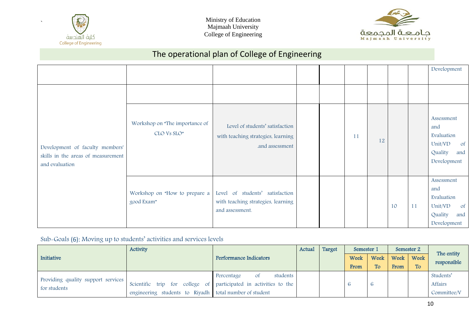



# The operational plan of College of Engineering

|                                                                                         |                                               |                                                                                          |  |    |    |    |    | Development                                                                                  |
|-----------------------------------------------------------------------------------------|-----------------------------------------------|------------------------------------------------------------------------------------------|--|----|----|----|----|----------------------------------------------------------------------------------------------|
|                                                                                         |                                               |                                                                                          |  |    |    |    |    |                                                                                              |
| Development of faculty members'<br>skills in the areas of measurement<br>and evaluation | Workshop on "The importance of<br>CLO Vs SLO" | Level of students' satisfaction<br>with teaching strategies, learning<br>.and assessment |  | 11 | 12 |    |    | Assessment<br>and<br>Evaluation<br>Unit/VD<br>$\circ$ f<br>Quality<br>and<br>Development     |
|                                                                                         | Workshop on "How to prepare a<br>good Exam"   | Level of students' satisfaction<br>with teaching strategies, learning<br>and assessment. |  |    |    | 10 | 11 | Assessment<br>and<br>Evaluation<br>Unit/VD<br><sub>of</sub><br>Quality<br>and<br>Development |

#### Sub-Goals (6): Moving up to students' activities and services levels

|                                    | <b>Activity</b>                                                  |                               | Actual | Target | Semester 1 |      |      | Semester 2 | The entity  |
|------------------------------------|------------------------------------------------------------------|-------------------------------|--------|--------|------------|------|------|------------|-------------|
| Initiative                         |                                                                  | <b>Performance Indicators</b> |        |        | Week       | Week | Week | Week       | responsible |
|                                    |                                                                  |                               |        |        | From       | To.  | From | <b>To</b>  |             |
| Providing quality support services |                                                                  | students<br>Percentage<br>Οf  |        |        |            |      |      |            | Students'   |
| for students                       | Scientific trip for college of participated in activities to the |                               |        |        |            |      |      |            | Affairs     |
|                                    | engineering students to Riyadh total number of student           |                               |        |        |            |      |      |            | Committee/V |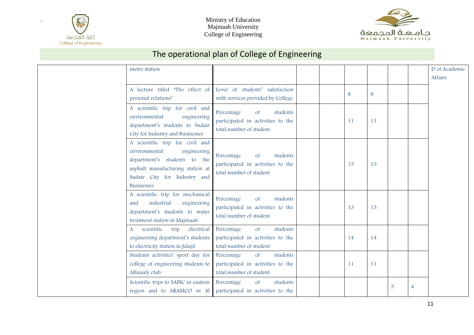





| metro station                                                                                                                                                                            |                                                                                                     |  |    |    |                |                | D of Academic<br>Affairs |
|------------------------------------------------------------------------------------------------------------------------------------------------------------------------------------------|-----------------------------------------------------------------------------------------------------|--|----|----|----------------|----------------|--------------------------|
| A lecture titled "The effect of<br>personal relations"                                                                                                                                   | Level of students' satisfaction<br>with services provided by College                                |  | 8  | 8  |                |                |                          |
| A scientific trip for civil and<br>environmental<br>engineering<br>department's students to Sudair<br>City for Industry and Businesses                                                   | Percentage<br>students<br>$\circ$ f<br>participated in activities to the<br>total number of student |  | 11 | 11 |                |                |                          |
| A scientific trip for civil and<br>environmental<br>engineering<br>department's students to the<br>asphalt manufacturing station at<br>Sudair City for Industry and<br><b>Businesses</b> | students<br>Percentage<br>$\circ$ f<br>participated in activities to the<br>total number of student |  | 13 | 13 |                |                |                          |
| A scientific trip for mechanical<br>industrial<br>engineering<br>and<br>department's students to water<br>treatment station in Majmaah                                                   | Percentage<br><b>of</b><br>students<br>participated in activities to the<br>total number of student |  | 13 | 13 |                |                |                          |
| scientific<br>trip<br>electrical<br>$\mathbf{A}$<br>engineering department's students<br>to electricity station in Jalajil                                                               | Percentage<br>of<br>students<br>participated in activities to the<br>total number of student        |  | 14 | 14 |                |                |                          |
| Students activities' sport day for<br>college of engineering students to<br>Alfaisaly club                                                                                               | students<br>Percentage<br>$\circ$ f<br>participated in activities to the<br>total number of student |  | 11 | 11 |                |                |                          |
| Scientific trips to SABIC in eastern<br>region and to ARAMCO in Al                                                                                                                       | Percentage<br>of<br>students<br>participated in activities to the                                   |  |    |    | $\mathfrak{B}$ | $\overline{4}$ |                          |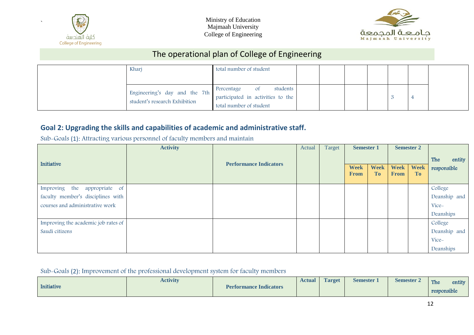



# The operational plan of College of Engineering

| Kharj                                                          | total number of student                                                                      |  |  |  |  |
|----------------------------------------------------------------|----------------------------------------------------------------------------------------------|--|--|--|--|
| Engineering's day and the 7th<br>student's research Exhibition | students<br>Percentage<br>0f<br>participated in activities to the<br>total number of student |  |  |  |  |

#### **Goal 2: Upgrading the skills and capabilities of academic and administrative staff.**

Sub-Goals (1): Attracting various personnel of faculty members and maintain

|                                     | <b>Activity</b> |                               | Actual | Target | <b>Semester 1</b>          |                          |                            | <b>Semester 2</b>        |               |
|-------------------------------------|-----------------|-------------------------------|--------|--------|----------------------------|--------------------------|----------------------------|--------------------------|---------------|
| Initiative                          |                 | <b>Performance Indicators</b> |        |        |                            |                          |                            |                          | The<br>entity |
|                                     |                 |                               |        |        | <b>Week</b><br><b>From</b> | <b>Week</b><br><b>To</b> | <b>Week</b><br><b>From</b> | <b>Week</b><br><b>To</b> | responsible   |
|                                     |                 |                               |        |        |                            |                          |                            |                          |               |
| Improving the<br>appropriate of     |                 |                               |        |        |                            |                          |                            |                          | College       |
| faculty member's disciplines with   |                 |                               |        |        |                            |                          |                            |                          | Deanship and  |
| courses and administrative work     |                 |                               |        |        |                            |                          |                            |                          | Vice-         |
|                                     |                 |                               |        |        |                            |                          |                            |                          | Deanships     |
| Improving the academic job rates of |                 |                               |        |        |                            |                          |                            |                          | College       |
| Saudi citizens                      |                 |                               |        |        |                            |                          |                            |                          | Deanship and  |
|                                     |                 |                               |        |        |                            |                          |                            |                          | Vice-         |
|                                     |                 |                               |        |        |                            |                          |                            |                          | Deanships     |

#### Sub-Goals (2): Improvement of the professional development system for faculty members

|            | <b>Activity</b> |                               | <b>Actual</b> | <b>Target</b> | <b>Semester</b> | <b>Semester 2</b> | The         | entity |
|------------|-----------------|-------------------------------|---------------|---------------|-----------------|-------------------|-------------|--------|
| Initiative |                 | <b>Performance Indicators</b> |               |               |                 |                   | responsible |        |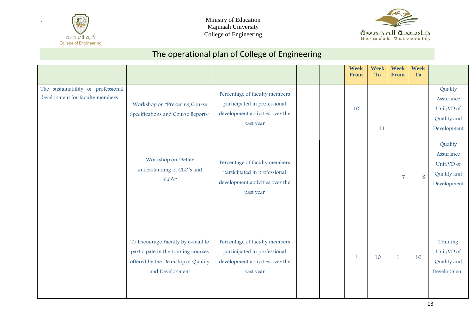



|                                                                       |                                                                                                                                   |                                                                                                               |  | <b>Week</b><br>From | <b>Week</b><br><b>To</b> | Week<br>From   | <b>Week</b><br><b>To</b> |                                                                  |
|-----------------------------------------------------------------------|-----------------------------------------------------------------------------------------------------------------------------------|---------------------------------------------------------------------------------------------------------------|--|---------------------|--------------------------|----------------|--------------------------|------------------------------------------------------------------|
| The sustainability of professional<br>development for faculty members | Workshop on "Preparing Course<br>Specifications and Course Reports"                                                               | Percentage of faculty members<br>participated in professional<br>development activities over the<br>past year |  | 10                  | 11                       |                |                          | Quality<br>Assurance<br>Unit/VD of<br>Quality and<br>Development |
|                                                                       | Workshop on "Better<br>understanding of CLO's and<br>$SLO's$ "                                                                    | Percentage of faculty members<br>participated in professional<br>development activities over the<br>past year |  |                     |                          | $\overline{7}$ | 8                        | Quality<br>Assurance<br>Unit/VD of<br>Quality and<br>Development |
|                                                                       | To Encourage Faculty by e-mail to<br>participate in the training courses<br>offered by the Deanship of Quality<br>and Development | Percentage of faculty members<br>participated in professional<br>development activities over the<br>past year |  | $\mathbf{1}$        | 10                       | $\mathbf{1}$   | 10                       | Training<br>Unit/VD of<br>Quality and<br>Development             |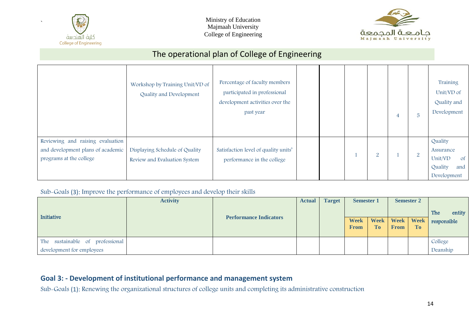



# The operational plan of College of Engineering

|                                                                                                  | Workshop by Training Unit/VD of<br>Quality and Development     | Percentage of faculty members<br>participated in professional<br>development activities over the<br>past year |  |                | 4 | $5\phantom{.}$ | Training<br>Unit/VD of<br>Quality and<br>Development                              |
|--------------------------------------------------------------------------------------------------|----------------------------------------------------------------|---------------------------------------------------------------------------------------------------------------|--|----------------|---|----------------|-----------------------------------------------------------------------------------|
| Reviewing and raising evaluation<br>and development plans of academic<br>programs at the college | Displaying Schedule of Quality<br>Review and Evaluation System | Satisfaction level of quality units'<br>performance in the college                                            |  | $\overline{2}$ |   | 2              | Quality<br>Assurance<br>Unit/VD<br><sub>of</sub><br>Quality<br>and<br>Development |

Sub-Goals (3): Improve the performance of employees and develop their skills

|                                                              | <b>Activity</b> | <b>Performance Indicators</b> | <b>Actual</b> | <b>Target</b> | <b>Semester 1</b>          |              |                       | <b>Semester 2</b> | entity<br>The       |
|--------------------------------------------------------------|-----------------|-------------------------------|---------------|---------------|----------------------------|--------------|-----------------------|-------------------|---------------------|
| Initiative                                                   |                 |                               |               |               | <b>Week</b><br><b>From</b> | Week  <br>To | Week  <br><b>From</b> | <b>Week</b><br>To | responsible         |
| The sustainable of professional<br>development for employees |                 |                               |               |               |                            |              |                       |                   | College<br>Deanship |

#### **Goal 3: - Development of institutional performance and management system**

Sub-Goals (1): Renewing the organizational structures of college units and completing its administrative construction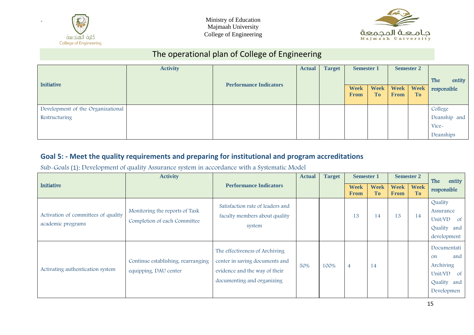



# The operational plan of College of Engineering

|                                   | <b>Activity</b> |                               |  | <b>Target</b><br><b>Actual</b> |                            | <b>Semester 1</b>        |             | <b>Semester 2</b>      |               |
|-----------------------------------|-----------------|-------------------------------|--|--------------------------------|----------------------------|--------------------------|-------------|------------------------|---------------|
| Initiative                        |                 |                               |  |                                |                            |                          |             |                        | entity<br>The |
|                                   |                 | <b>Performance Indicators</b> |  |                                | <b>Week</b><br><b>From</b> | <b>Week</b><br><b>To</b> | <b>From</b> | Week Week<br><b>To</b> | responsible   |
| Development of the Organizational |                 |                               |  |                                |                            |                          |             |                        | College       |
| Restructuring                     |                 |                               |  |                                |                            |                          |             |                        | Deanship and  |
|                                   |                 |                               |  |                                |                            |                          |             |                        | Vice-         |
|                                   |                 |                               |  |                                |                            |                          |             |                        | Deanships     |

#### **Goal 5: - Meet the quality requirements and preparing for institutional and program accreditations**

Sub-Goals (1): Development of quality Assurance system in accordance with a Systematic Model

|                                                          | <b>Activity</b>                                                |                                                                                                                                 | <b>Actual</b> | <b>Target</b> | <b>Semester 1</b>          |                          |                            | <b>Semester 2</b> | The<br>entity                                                                                                |
|----------------------------------------------------------|----------------------------------------------------------------|---------------------------------------------------------------------------------------------------------------------------------|---------------|---------------|----------------------------|--------------------------|----------------------------|-------------------|--------------------------------------------------------------------------------------------------------------|
| Initiative                                               |                                                                | <b>Performance Indicators</b>                                                                                                   |               |               | <b>Week</b><br><b>From</b> | <b>Week</b><br><b>To</b> | <b>Week</b><br><b>From</b> | <b>Week</b><br>To | responsible                                                                                                  |
| Activation of committees of quality<br>academic programs | Monitoring the reports of Task<br>Completion of each Committee | Satisfaction rate of leaders and<br>faculty members about quality<br>system                                                     |               |               | 13                         | 14                       | 13                         | 14                | Quality<br>Assurance<br>Unit/VD<br>0f<br>Quality<br>and<br>development                                       |
| Activating authentication system                         | Continue establishing, rearranging<br>equipping, DAU center    | The effectiveness of Archiving<br>center in saving documents and<br>evidence and the way of their<br>documenting and organizing | 50%           | 100%          | 4                          | 14                       |                            |                   | Documentati<br>and<br><sub>on</sub><br>Archiving<br>Unit/VD<br><sub>of</sub><br>Quality<br>and<br>Developmen |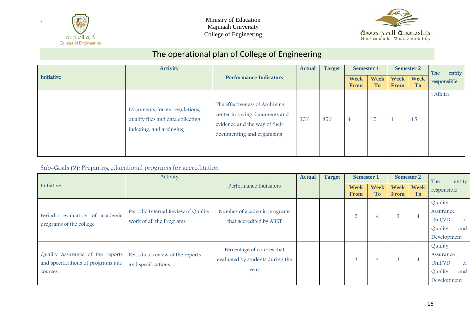



# The operational plan of College of Engineering

|            | <b>Activity</b>                                                                                 |                                                                                                                                 | <b>Actual</b> | <b>Target</b> | <b>Semester 1</b>          |                          |                            | <b>Semester 2</b>        | The<br>entity |
|------------|-------------------------------------------------------------------------------------------------|---------------------------------------------------------------------------------------------------------------------------------|---------------|---------------|----------------------------|--------------------------|----------------------------|--------------------------|---------------|
| Initiative |                                                                                                 | <b>Performance Indicators</b>                                                                                                   |               |               | <b>Week</b><br><b>From</b> | <b>Week</b><br><b>To</b> | <b>Week</b><br><b>From</b> | <b>Week</b><br><b>To</b> | responsible   |
|            | Documents, forms, regulations,<br>quality files and data collecting,<br>indexing, and archiving | The effectiveness of Archiving<br>center in saving documents and<br>evidence and the way of their<br>documenting and organizing | 30%           | 85%           | $\overline{4}$             | 15                       |                            | 15                       | t Affairs     |

#### Sub-Goals (2): Preparing educational programs for accreditation

|                                                                                   | Activity                                                        |                                                                        | <b>Actual</b> | <b>Target</b> | <b>Semester 1</b>          |                          |                            | <b>Semester 2</b>        | The<br>entity                                                                     |
|-----------------------------------------------------------------------------------|-----------------------------------------------------------------|------------------------------------------------------------------------|---------------|---------------|----------------------------|--------------------------|----------------------------|--------------------------|-----------------------------------------------------------------------------------|
| Initiative                                                                        |                                                                 | <b>Performance Indicators</b>                                          |               |               | <b>Week</b><br><b>From</b> | <b>Week</b><br><b>To</b> | <b>Week</b><br><b>From</b> | <b>Week</b><br><b>To</b> | responsible                                                                       |
| Periodic evaluation of academic<br>programs of the college                        | Periodic Internal Review of Quality<br>work of all the Programs | Number of academic programs<br>that accredited by ABET                 |               |               | 3                          |                          | 3                          |                          | Quality<br>Assurance<br>Unit/VD<br><sub>of</sub><br>Quality<br>and<br>Development |
| Quality Assurance of the reports<br>and specifications of programs and<br>courses | Periodical review of the reports<br>and specifications          | Percentage of courses that<br>evaluated by students during the<br>year |               |               | 3                          |                          | 3                          | 4                        | Quality<br>Assurance<br>Unit/VD<br><sub>of</sub><br>Quality<br>and<br>Development |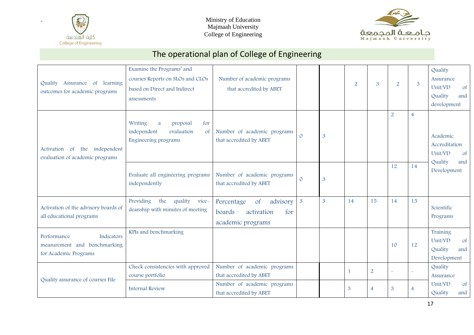



| Assurance of learning<br>Quality<br>outcomes for academic programs                   | Examine the Programs' and<br>courses Reports on SLOs and CLOs<br>based on Direct and Indirect<br>assessments | Number of academic programs<br>that accredited by ABET                                                           |                |   | $\overline{2}$ | $\mathfrak{B}$                   | $\overline{2}$      | $\mathfrak{B}$ | Quality<br>Assurance<br>Unit/VD<br><sub>of</sub><br>Quality<br>and<br>development |
|--------------------------------------------------------------------------------------|--------------------------------------------------------------------------------------------------------------|------------------------------------------------------------------------------------------------------------------|----------------|---|----------------|----------------------------------|---------------------|----------------|-----------------------------------------------------------------------------------|
| independent<br>Activation<br>the<br><sub>of</sub><br>evaluation of academic programs | Writing<br>for<br>a<br>proposal<br>independent<br>evaluation<br><sub>of</sub><br>Engineering programs        | Number of academic programs<br>that accredited by ABET                                                           | $\Omega$       | 3 |                |                                  | $\overline{2}$      | $\overline{4}$ | Academic<br>Accreditation<br>Unit/VD<br><sub>of</sub><br>Quality<br>and           |
|                                                                                      | Evaluate all engineering programs<br>independently                                                           | Number of academic programs<br>that accredited by ABET                                                           | $\Omega$       | 3 |                |                                  | 12                  | 14             | Development                                                                       |
| Activation of the advisory boards of<br>all educational programs                     | Providing<br>the<br>quality<br>vice-<br>deanship with minutes of meeting                                     | advisory<br><b>of</b><br>Percentage<br>boards<br>activation<br>for<br>academic programs                          | $\overline{3}$ | 3 | 14             | 15                               | 14                  | 15             | Scientific<br>Programs                                                            |
| Indicators<br>Performance<br>measurement and benchmarking<br>for Academic Programs   | KPIs and benchmarking                                                                                        |                                                                                                                  |                |   |                |                                  | 10                  | 12             | Training<br>Unit/VD<br>of<br>Quality<br>and<br>Development                        |
| Quality assurance of courses File                                                    | Check consistencies with approved<br>course portfolio<br><b>Internal Review</b>                              | Number of academic programs<br>that accredited by ABET<br>Number of academic programs<br>that accredited by ABET |                |   | 3              | $\overline{2}$<br>$\overline{4}$ | L<br>$\mathfrak{B}$ | $\overline{4}$ | Quality<br>Assurance<br>Unit/VD<br><sub>of</sub><br>Quality<br>and                |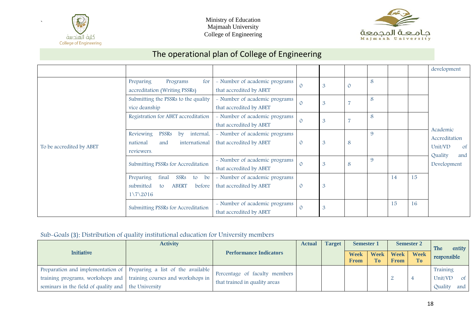



# The operational plan of College of Engineering

|                          |                                                                                                           |                                                          |         |   |                |   |    |    | development                                             |
|--------------------------|-----------------------------------------------------------------------------------------------------------|----------------------------------------------------------|---------|---|----------------|---|----|----|---------------------------------------------------------|
| To be accredited by ABET | for<br>Preparing<br>Programs<br>accreditation (Writing PSSRs)                                             | - Number of academic programs<br>that accredited by ABET |         | 3 | $\mathcal{O}$  | 8 |    |    |                                                         |
|                          | Submitting the PSSRs to the quality<br>vice deanship                                                      | - Number of academic programs<br>that accredited by ABET |         | 3 |                | 8 |    |    |                                                         |
|                          | Registration for ABET accreditation                                                                       | - Number of academic programs<br>that accredited by ABET |         | 3 | $\overline{7}$ | 8 |    |    | Academic                                                |
|                          | Reviewing<br><b>PSSRs</b><br>$\mathbf{b}$<br>internal,<br>national<br>international<br>and<br>reviewers.  | - Number of academic programs<br>that accredited by ABET |         | 3 | 8              | 9 |    |    | Accreditation<br>Unit/VD<br>$\circ$ f<br>Quality<br>and |
|                          | Submitting PSSRs for Accreditation                                                                        | - Number of academic programs<br>that accredited by ABET |         | 3 | 8              | 9 |    |    | Development                                             |
|                          | final<br>Preparing<br>SSRs<br>be<br>to<br>submitted<br><b>ABERT</b><br>before<br>to<br>$1\overline{2016}$ | - Number of academic programs<br>that accredited by ABET | $\circ$ | 3 |                |   | 14 | 15 |                                                         |
|                          | Submitting PSSRs for Accreditation                                                                        | - Number of academic programs<br>that accredited by ABET |         | 3 |                |   | 15 | 16 |                                                         |

#### Sub-Goals (3): Distribution of quality institutional education for University members

|                                                                 | <b>Activity</b>                                                     |                               | <b>Actual</b> | <b>Target</b> | <b>Semester 1</b>          |                          |                            | <b>Semester 2</b>             | entity<br>The  |
|-----------------------------------------------------------------|---------------------------------------------------------------------|-------------------------------|---------------|---------------|----------------------------|--------------------------|----------------------------|-------------------------------|----------------|
| <b>Initiative</b>                                               |                                                                     | <b>Performance Indicators</b> |               |               | <b>Week</b><br><b>From</b> | <b>Week</b><br><b>To</b> | <b>Week</b><br><b>From</b> | <b>Week</b><br>T <sub>0</sub> | responsible    |
|                                                                 | Preparation and implementation of Preparing a list of the available | Percentage of faculty members |               |               |                            |                          |                            |                               | Training       |
|                                                                 | training programs, workshops and training courses and workshops in  | that trained in quality areas |               |               |                            |                          |                            |                               | Unit/VD of     |
| seminars in the field of quality and $\parallel$ the University |                                                                     |                               |               |               |                            |                          |                            |                               | and<br>Quality |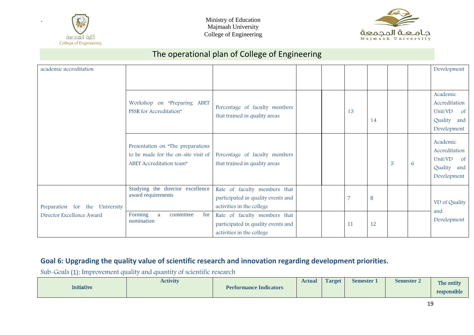



# The operational plan of College of Engineering

| academic accreditation         |                                                                                                      |                                                                                                 |  |    |    |                |   | Development                                                                            |
|--------------------------------|------------------------------------------------------------------------------------------------------|-------------------------------------------------------------------------------------------------|--|----|----|----------------|---|----------------------------------------------------------------------------------------|
|                                | Workshop on "Preparing ABET<br>PSSR for Accreditation"                                               | Percentage of faculty members<br>that trained in quality areas                                  |  | 13 | 14 |                |   | Academic<br>Accreditation<br>Unit/VD<br><sub>of</sub><br>Quality<br>and<br>Development |
|                                | Presentation on "The preparations<br>to be made for the on-site visit of<br>ABET Accreditation team" | Percentage of faculty members<br>that trained in quality areas                                  |  |    |    | $\overline{5}$ | 6 | Academic<br>Accreditation<br>Unit/VD of<br>Quality<br>and<br>Development               |
| Preparation for the University | Studying the director excellence<br>award requirements                                               | Rate of faculty members that<br>participated in quality events and<br>activities in the college |  |    | 8  |                |   | VD of Quality                                                                          |
| Director Excellence Award      | committee<br>Forming<br>for<br>a<br>nomination                                                       | Rate of faculty members that<br>participated in quality events and<br>activities in the college |  | 11 | 12 |                |   | and<br>Development                                                                     |

#### **Goal 6: Upgrading the quality value of scientific research and innovation regarding development priorities.**

Sub-Goals (1): Improvement quality and quantity of scientific research

| Initiative<br><b>Performance Indicators</b> | <b>Activity</b> | <b>Actual</b> | <b>Target</b><br>Semester | <b>Semester 2</b><br>The entity<br>responsible |
|---------------------------------------------|-----------------|---------------|---------------------------|------------------------------------------------|
|---------------------------------------------|-----------------|---------------|---------------------------|------------------------------------------------|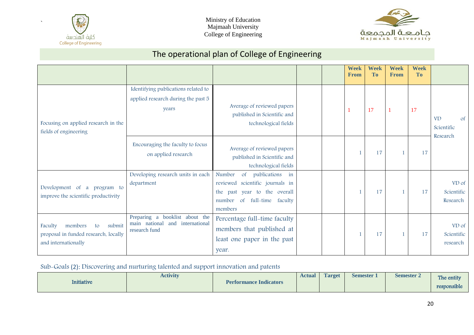



# The operational plan of College of Engineering

|                                                                                                   |                                                                                          |                                                                                                                                                           |  | <b>Week</b><br><b>From</b> | <b>Week</b><br>T <sub>0</sub> | <b>Week</b><br><b>From</b> | <b>Week</b><br><b>To</b> |                                           |
|---------------------------------------------------------------------------------------------------|------------------------------------------------------------------------------------------|-----------------------------------------------------------------------------------------------------------------------------------------------------------|--|----------------------------|-------------------------------|----------------------------|--------------------------|-------------------------------------------|
|                                                                                                   | Identifying publications related to                                                      |                                                                                                                                                           |  |                            |                               |                            |                          |                                           |
| Focusing on applied research in the<br>fields of engineering                                      | applied research during the past 5<br>years                                              | Average of reviewed papers<br>published in Scientific and<br>technological fields                                                                         |  |                            | 17                            |                            | 17                       | <b>VD</b><br>of<br>Scientific<br>Research |
|                                                                                                   | Encouraging the faculty to focus<br>on applied research                                  | Average of reviewed papers<br>published in Scientific and<br>technological fields                                                                         |  |                            | 17                            |                            | 17                       |                                           |
| Development of a program to<br>improve the scientific productivity                                | Developing research units in each<br>department                                          | Number<br>$\circ$ f<br>publications<br>in<br>reviewed scientific journals in<br>the past year to the overall<br>number of full-time<br>faculty<br>members |  |                            | 17                            |                            | 17                       | VD of<br>Scientific<br>Research           |
| submit<br>members<br>Faculty<br>to<br>proposal in funded research, locally<br>and internationally | Preparing a booklist about the<br>main national<br>and<br>international<br>research fund | Percentage full-time faculty<br>members that published at<br>least one paper in the past<br>year.                                                         |  |                            | 17                            | 1                          | 17                       | VD of<br>Scientific<br>research           |

#### Sub-Goals (2): Discovering and nurturing talented and support innovation and patents

|            | <b>Activity</b> |                               | <b>Actual</b> | <b>Target</b> | <b>Semester</b> | <b>Semester 2</b> | The entity  |
|------------|-----------------|-------------------------------|---------------|---------------|-----------------|-------------------|-------------|
| Initiative |                 | <b>Performance Indicators</b> |               |               |                 |                   | responsible |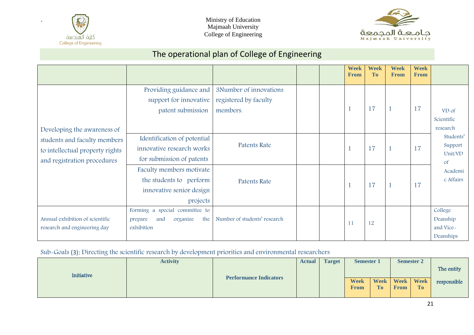



# The operational plan of College of Engineering

|                                                                                                |                                                                                             |                                                             |  | <b>Week</b><br><b>From</b> | <b>Week</b><br>T <sub>0</sub> | <b>Week</b><br><b>From</b> | <b>Week</b><br><b>From</b> |                                               |
|------------------------------------------------------------------------------------------------|---------------------------------------------------------------------------------------------|-------------------------------------------------------------|--|----------------------------|-------------------------------|----------------------------|----------------------------|-----------------------------------------------|
| Developing the awareness of                                                                    | Providing guidance and<br>support for innovative<br>patent submission                       | 3Number of innovations<br>registered by faculty<br>members. |  |                            | 17                            | $\mathbf{1}$               | 17                         | VD of<br>Scientific<br>research               |
| students and faculty members<br>to intellectual property rights<br>and registration procedures | Identification of potential<br>innovative research works<br>for submission of patents       | Patents Rate                                                |  |                            | 17                            | $\mathbf 1$                | 17                         | Students'<br>Support<br>Unit/VD<br>$\circ$ f  |
|                                                                                                | Faculty members motivate<br>the students to perform<br>innovative senior design<br>projects | Patents Rate                                                |  |                            | 17                            | $\mathbf{1}$               | 17                         | Academi<br>c Affairs                          |
| Annual exhibition of scientific<br>research and engineering day                                | Forming a special committee to<br>organize<br>the<br>and<br>prepare<br>exhibition           | Number of students' research                                |  | 11                         | 12                            |                            |                            | College<br>Deanship<br>and Vice-<br>Deanships |

#### Sub-Goals (3): Directing the scientific research by development priorities and environmental researchers

|            | <b>Activity</b> |                               | <b>Actual</b> | <b>Target</b> | Semester 1          |    |                        | <b>Semester 2</b> |             |
|------------|-----------------|-------------------------------|---------------|---------------|---------------------|----|------------------------|-------------------|-------------|
| Initiative |                 |                               |               |               |                     |    |                        |                   | The entity  |
|            |                 | <b>Performance Indicators</b> |               |               | <b>Week</b><br>From | To | Week Week Week<br>From | <b>To</b>         | responsible |
|            |                 |                               |               |               |                     |    |                        |                   |             |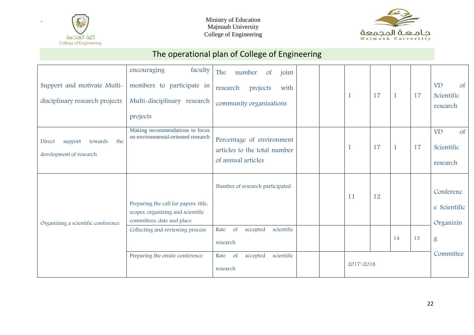



| Support and motivate Multi-<br>disciplinary research projects  | faculty<br>encouraging<br>members to participate in<br>Multi-disciplinary research<br>projects                                               | The<br>number<br>$\circ$ f<br>joint<br>research<br>projects<br>with<br>community organizations |           | 17 | $\mathbf{1}$ | 17 | $\circ$ f<br><b>VD</b><br>Scientific<br>research |
|----------------------------------------------------------------|----------------------------------------------------------------------------------------------------------------------------------------------|------------------------------------------------------------------------------------------------|-----------|----|--------------|----|--------------------------------------------------|
| the<br>Direct<br>support<br>towards<br>development of research | Making recommendations to focus<br>on environmental-oriented research                                                                        | Percentage of environment<br>articles to the total number<br>of annual articles                |           | 17 | $\mathbf{1}$ | 17 | <b>VD</b><br>of<br>Scientific<br>research        |
| Organizing a scientific conference                             | Preparing the call for papers. title,<br>scopes, organizing and scientific<br>committees, date and place<br>Collecting and reviewing process | Number of research participated<br>scientific<br>Rate<br>of<br>accepted                        | 11        | 12 |              |    | Conferenc<br>e Scientific<br>Organizin           |
|                                                                |                                                                                                                                              | research                                                                                       |           |    | 14           | 15 | $\mathcal{S}$                                    |
|                                                                | Preparing the onsite conference                                                                                                              | scientific<br>of<br>Rate<br>accepted<br>research                                               | 2017\2018 |    |              |    | Committee                                        |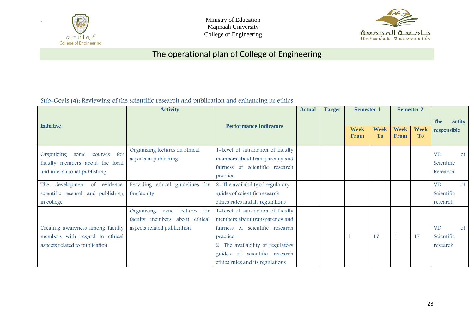

Ministry of Education Majmaah University College of Engineering



# The operational plan of College of Engineering

Sub-Goals (4): Reviewing of the scientific research and publication and enhancing its ethics

|                                              | <b>Activity</b>                       |                                    | <b>Actual</b> | <b>Target</b> | <b>Semester 1</b>          |                          |                            |                               |             |               |  |  |  |  |  |  |  |  |  |  |  |  |  |  |  |  |  |  |  |  |  |  |  |  |  |  |  |  |  |  |  |  | <b>Semester 2</b> |  |  |  |
|----------------------------------------------|---------------------------------------|------------------------------------|---------------|---------------|----------------------------|--------------------------|----------------------------|-------------------------------|-------------|---------------|--|--|--|--|--|--|--|--|--|--|--|--|--|--|--|--|--|--|--|--|--|--|--|--|--|--|--|--|--|--|--|--|-------------------|--|--|--|
| Initiative                                   |                                       |                                    |               |               |                            |                          |                            |                               | The         | entity        |  |  |  |  |  |  |  |  |  |  |  |  |  |  |  |  |  |  |  |  |  |  |  |  |  |  |  |  |  |  |  |  |                   |  |  |  |
|                                              |                                       | <b>Performance Indicators</b>      |               |               | <b>Week</b><br><b>From</b> | <b>Week</b><br><b>To</b> | <b>Week</b><br><b>From</b> | <b>Week</b><br>T <sub>0</sub> | responsible |               |  |  |  |  |  |  |  |  |  |  |  |  |  |  |  |  |  |  |  |  |  |  |  |  |  |  |  |  |  |  |  |  |                   |  |  |  |
| <b>Organizing</b><br>for<br>some<br>courses  | Organizing lectures on Ethical        | 1-Level of satisfaction of faculty |               |               |                            |                          |                            |                               | <b>VD</b>   | $\circ$ f     |  |  |  |  |  |  |  |  |  |  |  |  |  |  |  |  |  |  |  |  |  |  |  |  |  |  |  |  |  |  |  |  |                   |  |  |  |
| faculty members about the local              | aspects in publishing                 | members about transparency and     |               |               |                            |                          |                            |                               | Scientific  |               |  |  |  |  |  |  |  |  |  |  |  |  |  |  |  |  |  |  |  |  |  |  |  |  |  |  |  |  |  |  |  |  |                   |  |  |  |
| and international publishing                 |                                       | fairness of scientific research    |               |               |                            |                          |                            |                               | Research    |               |  |  |  |  |  |  |  |  |  |  |  |  |  |  |  |  |  |  |  |  |  |  |  |  |  |  |  |  |  |  |  |  |                   |  |  |  |
|                                              |                                       | practice                           |               |               |                            |                          |                            |                               |             |               |  |  |  |  |  |  |  |  |  |  |  |  |  |  |  |  |  |  |  |  |  |  |  |  |  |  |  |  |  |  |  |  |                   |  |  |  |
| evidence,<br>development<br>$\circ$ f<br>The | Providing ethical guidelines for      | 2- The availability of regulatory  |               |               |                            |                          |                            |                               | <b>VD</b>   | $\circ$ f     |  |  |  |  |  |  |  |  |  |  |  |  |  |  |  |  |  |  |  |  |  |  |  |  |  |  |  |  |  |  |  |  |                   |  |  |  |
| scientific research and publishing           | the faculty                           | guides of scientific research      |               |               |                            |                          |                            |                               | Scientific  |               |  |  |  |  |  |  |  |  |  |  |  |  |  |  |  |  |  |  |  |  |  |  |  |  |  |  |  |  |  |  |  |  |                   |  |  |  |
| in college                                   |                                       | ethics rules and its regulations   |               |               |                            |                          |                            |                               | research    |               |  |  |  |  |  |  |  |  |  |  |  |  |  |  |  |  |  |  |  |  |  |  |  |  |  |  |  |  |  |  |  |  |                   |  |  |  |
|                                              | Organizing<br>lectures<br>for<br>some | 1-Level of satisfaction of faculty |               |               |                            |                          |                            |                               |             |               |  |  |  |  |  |  |  |  |  |  |  |  |  |  |  |  |  |  |  |  |  |  |  |  |  |  |  |  |  |  |  |  |                   |  |  |  |
|                                              | faculty members about ethical         | members about transparency and     |               |               |                            |                          |                            |                               |             |               |  |  |  |  |  |  |  |  |  |  |  |  |  |  |  |  |  |  |  |  |  |  |  |  |  |  |  |  |  |  |  |  |                   |  |  |  |
| Creating awareness among faculty             | aspects related publication.          | fairness of scientific research    |               |               |                            |                          |                            |                               | <b>VD</b>   | <sub>of</sub> |  |  |  |  |  |  |  |  |  |  |  |  |  |  |  |  |  |  |  |  |  |  |  |  |  |  |  |  |  |  |  |  |                   |  |  |  |
| members with regard to ethical               |                                       | practice                           |               |               |                            | 17                       |                            | 17                            | Scientific  |               |  |  |  |  |  |  |  |  |  |  |  |  |  |  |  |  |  |  |  |  |  |  |  |  |  |  |  |  |  |  |  |  |                   |  |  |  |
| aspects related to publication.              |                                       | 2- The availability of regulatory  |               |               |                            |                          |                            |                               | research    |               |  |  |  |  |  |  |  |  |  |  |  |  |  |  |  |  |  |  |  |  |  |  |  |  |  |  |  |  |  |  |  |  |                   |  |  |  |
|                                              |                                       | guides of scientific research      |               |               |                            |                          |                            |                               |             |               |  |  |  |  |  |  |  |  |  |  |  |  |  |  |  |  |  |  |  |  |  |  |  |  |  |  |  |  |  |  |  |  |                   |  |  |  |
|                                              |                                       | ethics rules and its regulations   |               |               |                            |                          |                            |                               |             |               |  |  |  |  |  |  |  |  |  |  |  |  |  |  |  |  |  |  |  |  |  |  |  |  |  |  |  |  |  |  |  |  |                   |  |  |  |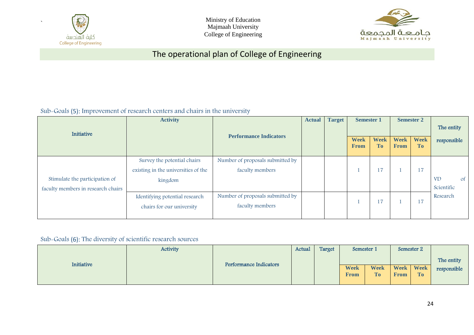

Ministry of Education Majmaah University College of Engineering



# The operational plan of College of Engineering

Sub-Goals (5): Improvement of research centers and chairs in the university

| Initiative                                                           | <b>Activity</b>                                                               | <b>Performance Indicators</b>                       | <b>Target</b><br><b>Actual</b> |  |                            |                          | <b>Semester 1</b>          |                          | <b>Semester 2</b>                    |  | The entity |
|----------------------------------------------------------------------|-------------------------------------------------------------------------------|-----------------------------------------------------|--------------------------------|--|----------------------------|--------------------------|----------------------------|--------------------------|--------------------------------------|--|------------|
|                                                                      |                                                                               |                                                     |                                |  | <b>Week</b><br><b>From</b> | <b>Week</b><br><b>To</b> | <b>Week</b><br><b>From</b> | <b>Week</b><br><b>To</b> | responsible                          |  |            |
| Stimulate the participation of<br>faculty members in research chairs | Survey the potential chairs<br>existing in the universities of the<br>kingdom | Number of proposals submitted by<br>faculty members |                                |  |                            | 17                       |                            | 17                       | <b>VD</b><br>$\circ$ f<br>Scientific |  |            |
|                                                                      | Identifying potential research<br>chairs for our university                   | Number of proposals submitted by<br>faculty members |                                |  |                            | 17                       |                            | 17                       | Research                             |  |            |

Sub-Goals (6): The diversity of scientific research sources

|            | <b>Activity</b> |                        |  | Target<br>Actual | Semester 1                 |            | Semester 2                 |                   |             |
|------------|-----------------|------------------------|--|------------------|----------------------------|------------|----------------------------|-------------------|-------------|
| Initiative |                 | Performance Indicators |  |                  |                            |            |                            |                   | The entity  |
|            |                 |                        |  |                  | <b>Week</b><br><b>From</b> | Week<br>To | <b>Week</b><br><b>From</b> | <b>Week</b><br>To | responsible |
|            |                 |                        |  |                  |                            |            |                            |                   |             |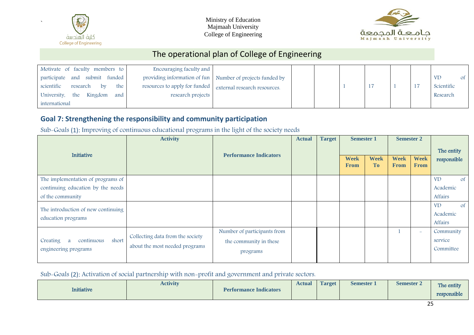

Ministry of Education Majmaah University College of Engineering



# The operational plan of College of Engineering

| Motivate of faculty members to       | Encouraging faculty and                                      |                                                           |  |  |  |                 |
|--------------------------------------|--------------------------------------------------------------|-----------------------------------------------------------|--|--|--|-----------------|
| participate and submit funded        |                                                              | providing information of fun Number of projects funded by |  |  |  | <b>VD</b><br>0f |
| scientific<br>the<br>research<br>bv  | resources to apply for funded   external research resources. |                                                           |  |  |  | Scientific      |
| University.<br>Kingdom<br>the<br>and | research projects                                            |                                                           |  |  |  | Research        |
| international                        |                                                              |                                                           |  |  |  |                 |

#### **Goal 7: Strengthening the responsibility and community participation**

Sub-Goals (1): Improving of continuous educational programs in the light of the society needs

| Initiative                                      | <b>Activity</b>                  | <b>Performance Indicators</b> | <b>Actual</b> | <b>Target</b> | <b>Semester 1</b>          |                          | <b>Semester 2</b>          |                            | The entity                 |
|-------------------------------------------------|----------------------------------|-------------------------------|---------------|---------------|----------------------------|--------------------------|----------------------------|----------------------------|----------------------------|
|                                                 |                                  |                               |               |               | <b>Week</b><br><b>From</b> | <b>Week</b><br><b>To</b> | <b>Week</b><br><b>From</b> | <b>Week</b><br><b>From</b> | responsible                |
| The implementation of programs of               |                                  |                               |               |               |                            |                          |                            |                            | <b>VD</b><br><sub>of</sub> |
| continuing education by the needs               |                                  |                               |               |               |                            |                          |                            |                            | Academic                   |
| of the community                                |                                  |                               |               |               |                            |                          |                            |                            | Affairs                    |
| The introduction of new continuing              |                                  |                               |               |               |                            |                          |                            |                            | <b>VD</b><br><sub>of</sub> |
| education programs                              |                                  |                               |               |               |                            |                          |                            |                            | Academic                   |
|                                                 |                                  |                               |               |               |                            |                          |                            |                            | Affairs                    |
|                                                 |                                  | Number of participants from   |               |               |                            |                          |                            | $\overline{\phantom{a}}$   | Community                  |
| short<br>Creating<br>continuous<br><sub>a</sub> | Collecting data from the society | the community in these        |               |               |                            |                          |                            |                            | service                    |
| engineering programs                            | about the most needed programs   | programs                      |               |               |                            |                          |                            |                            | Committee                  |
|                                                 |                                  |                               |               |               |                            |                          |                            |                            |                            |

Sub-Goals (2): Activation of social partnership with non-profit and government and private sectors.

| <b>Initiative</b> | <b>Activity</b> | <b>Performance Indicators</b> | Actual | <b>Target</b> | Semester 1 | <b>Semester 2</b> | The entity<br>responsible |
|-------------------|-----------------|-------------------------------|--------|---------------|------------|-------------------|---------------------------|
|-------------------|-----------------|-------------------------------|--------|---------------|------------|-------------------|---------------------------|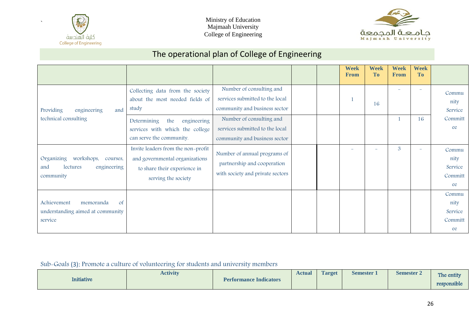



# The operational plan of College of Engineering

|                                                                                          |                                                                                                                                                      |                                                                                                                                                             |  | <b>Week</b><br><b>From</b> | <b>Week</b><br><b>To</b> | <b>Week</b><br><b>From</b> | <b>Week</b><br><b>To</b>       |                                           |
|------------------------------------------------------------------------------------------|------------------------------------------------------------------------------------------------------------------------------------------------------|-------------------------------------------------------------------------------------------------------------------------------------------------------------|--|----------------------------|--------------------------|----------------------------|--------------------------------|-------------------------------------------|
| Providing<br>engineering<br>and<br>technical consulting                                  | Collecting data from the society<br>about the most needed fields of<br>study<br>Determining<br>the<br>engineering<br>services with which the college | Number of consulting and<br>services submitted to the local<br>community and business sector<br>Number of consulting and<br>services submitted to the local |  |                            | 16                       |                            | $\overline{\phantom{0}}$<br>16 | Commu<br>nity<br>Service<br>Committ<br>ee |
|                                                                                          | can serve the community.<br>Invite leaders from the non-profit                                                                                       | community and business sector                                                                                                                               |  |                            |                          | 3                          |                                |                                           |
| Organizing<br>workshops,<br>courses,<br>lectures<br>engineering<br>and<br>community      | and governmental organizations<br>to share their experience in<br>serving the society                                                                | Number of annual programs of<br>partnership and cooperation<br>with society and private sectors                                                             |  |                            |                          |                            | $\overline{\phantom{0}}$       | Commu<br>nity<br>Service<br>Committ       |
|                                                                                          |                                                                                                                                                      |                                                                                                                                                             |  |                            |                          |                            |                                | ee<br>Commu                               |
| Achievement<br>memoranda<br><sub>of</sub><br>understanding aimed at community<br>service |                                                                                                                                                      |                                                                                                                                                             |  |                            |                          |                            |                                | nity<br>Service<br>Committ                |
|                                                                                          |                                                                                                                                                      |                                                                                                                                                             |  |                            |                          |                            |                                | ee                                        |

#### Sub-Goals (3): Promote a culture of volunteering for students and university members

|            | Activity |                               | <b>Actual</b> | <b>Target</b> | <b>Semester</b> | Semester 2 | The entity           |
|------------|----------|-------------------------------|---------------|---------------|-----------------|------------|----------------------|
| Initiative |          | <b>Performance Indicators</b> |               |               |                 |            | and a<br>responsible |
|            |          |                               |               |               |                 |            |                      |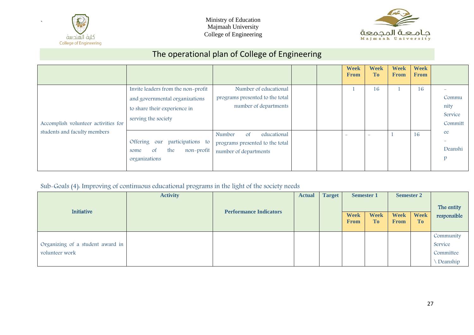



# The operational plan of College of Engineering

|                                     |                                                                                                                             |                                                                                                    |  | <b>Week</b><br><b>From</b> | <b>Week</b><br>T <sub>0</sub> | <b>Week</b><br><b>From</b> | <b>Week</b><br><b>From</b> |                                     |
|-------------------------------------|-----------------------------------------------------------------------------------------------------------------------------|----------------------------------------------------------------------------------------------------|--|----------------------------|-------------------------------|----------------------------|----------------------------|-------------------------------------|
| Accomplish volunteer activities for | Invite leaders from the non-profit<br>and governmental organizations<br>to share their experience in<br>serving the society | Number of educational<br>programs presented to the total<br>number of departments                  |  |                            | 16                            |                            | 16                         | Commu<br>nity<br>Service<br>Committ |
| students and faculty members        | Offering our<br>participations to<br><sub>of</sub><br>the<br>non-profit<br>some<br>organizations                            | educational<br>Number<br><sub>of</sub><br>programs presented to the total<br>number of departments |  |                            | $\overline{\phantom{a}}$      |                            | 16                         | ee<br>Deanshi                       |

#### Sub-Goals (4): Improving of continuous educational programs in the light of the society needs

| Initiative                       | <b>Activity</b> |                               | <b>Actual</b> | <b>Target</b><br><b>Semester 1</b><br><b>Week</b><br><b>To</b><br><b>From</b> |  | <b>Semester 2</b> |                            | The entity               |             |
|----------------------------------|-----------------|-------------------------------|---------------|-------------------------------------------------------------------------------|--|-------------------|----------------------------|--------------------------|-------------|
|                                  |                 | <b>Performance Indicators</b> |               |                                                                               |  | <b>Week</b>       | <b>Week</b><br><b>From</b> | <b>Week</b><br><b>To</b> | responsible |
|                                  |                 |                               |               |                                                                               |  |                   |                            |                          | Community   |
| Organizing of a student award in |                 |                               |               |                                                                               |  |                   |                            |                          | Service     |
| volunteer work                   |                 |                               |               |                                                                               |  |                   |                            |                          | Committee   |
|                                  |                 |                               |               |                                                                               |  |                   |                            |                          | Deanship    |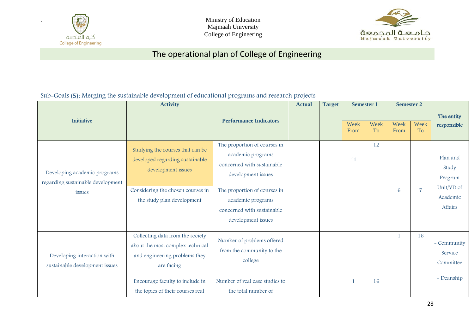

Ministry of Education Majmaah University College of Engineering



# The operational plan of College of Engineering

#### Sub-Goals (5): Merging the sustainable development of educational programs and research projects

|                                                                   | <b>Activity</b>                                                                                                     |                                                                                                       | <b>Actual</b> | <b>Target</b> | <b>Semester 1</b> |                   | <b>Semester 2</b> |                   |                                     |
|-------------------------------------------------------------------|---------------------------------------------------------------------------------------------------------------------|-------------------------------------------------------------------------------------------------------|---------------|---------------|-------------------|-------------------|-------------------|-------------------|-------------------------------------|
| Initiative                                                        |                                                                                                                     | <b>Performance Indicators</b>                                                                         |               |               | Week<br>From      | Week<br><b>To</b> | Week<br>From      | Week<br><b>To</b> | The entity<br>responsible           |
| Developing academic programs<br>regarding sustainable development | Studying the courses that can be<br>developed regarding sustainable<br>development issues                           | The proportion of courses in<br>academic programs<br>concerned with sustainable<br>development issues |               |               | 11                | 12                |                   |                   | Plan and<br>Study<br>Program        |
| issues                                                            | Considering the chosen courses in<br>the study plan development                                                     | The proportion of courses in<br>academic programs<br>concerned with sustainable<br>development issues |               |               |                   |                   | 6                 | $\overline{7}$    | Unit/VD of<br>Academic<br>Affairs   |
| Developing interaction with<br>sustainable development issues     | Collecting data from the society<br>about the most complex technical<br>and engineering problems they<br>are facing | Number of problems offered<br>from the community to the<br>college                                    |               |               |                   |                   |                   | 16                | - Community<br>Service<br>Committee |
|                                                                   | Encourage faculty to include in<br>the topics of their courses real                                                 | Number of real case studies to<br>the total number of                                                 |               |               |                   | 16                |                   |                   | - Deanship                          |